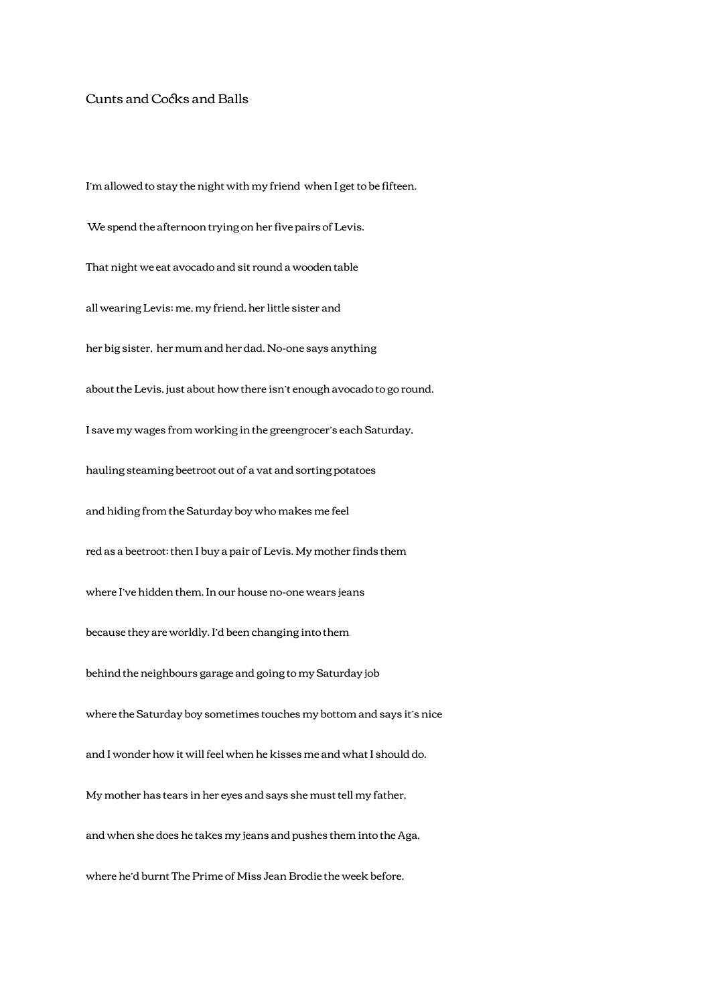## Cunts and Cocks and Balls

I'm allowed to stay the night with my friend when I get to be fifteen. We spend the afternoon trying on her five pairs of Levis. That night we eat avocado and sit round a wooden table all wearing Levis; me, my friend, her little sister and her big sister, her mum and her dad. No-one says anything about the Levis, just about how there isn't enough avocado to go round. I save my wages from working in the greengrocer's each Saturday, hauling steaming beetroot out of a vat and sorting potatoes and hiding from the Saturday boy who makes me feel red as a beetroot; then I buy a pair of Levis. My mother finds them where I've hidden them. In our house no-one wears jeans because they are worldly. I'd been changing into them behind the neighbours garage and going to my Saturday job where the Saturday boy sometimes touches my bottom and says it's nice and I wonder how it will feel when he kisses me and what I should do. My mother has tears in her eyes and says she must tell my father, and when she does he takes my jeans and pushes them into the Aga, where he'd burnt The Prime of Miss Jean Brodie the week before.